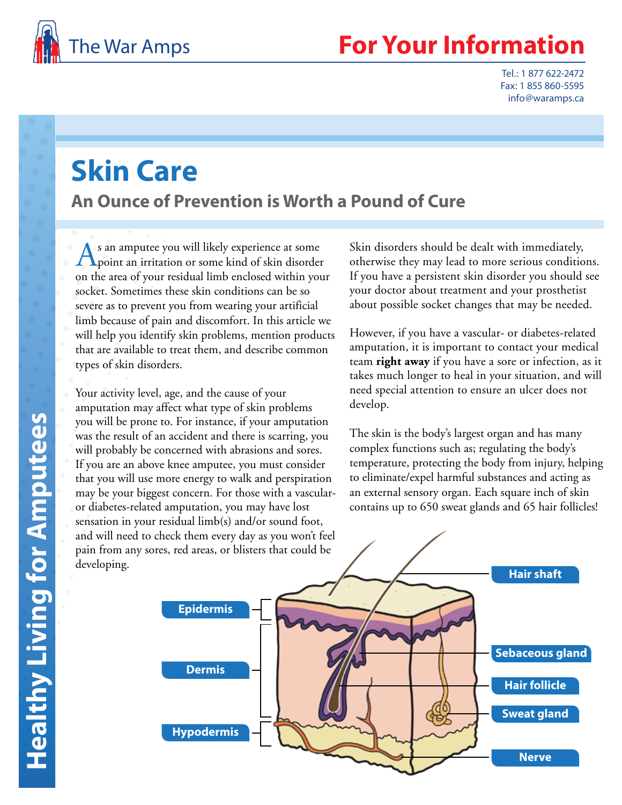

# **Your Information**

Tel.: 1 877 622-2472 Fax: 1 855 860-5595 info@waramps.ca

# **Skin Care**

**An Ounce of Prevention is Worth a Pound of Cure**

As an amputee you will likely experience at some<br>point an irritation or some kind of skin disorder on the area of your residual limb enclosed within your socket. Sometimes these skin conditions can be so severe as to prevent you from wearing your artificial limb because of pain and discomfort. In this article we will help you identify skin problems, mention products that are available to treat them, and describe common types of skin disorders.

Your activity level, age, and the cause of your amputation may affect what type of skin problems you will be prone to. For instance, if your amputation was the result of an accident and there is scarring, you will probably be concerned with abrasions and sores. If you are an above knee amputee, you must consider that you will use more energy to walk and perspiration may be your biggest concern. For those with a vascularor diabetes-related amputation, you may have lost sensation in your residual limb(s) and/or sound foot, and will need to check them every day as you won't feel pain from any sores, red areas, or blisters that could be developing.

Skin disorders should be dealt with immediately, otherwise they may lead to more serious conditions. If you have a persistent skin disorder you should see your doctor about treatment and your prosthetist about possible socket changes that may be needed.

However, if you have a vascular- or diabetes-related amputation, it is important to contact your medical team **right away** if you have a sore or infection, as it takes much longer to heal in your situation, and will need special attention to ensure an ulcer does not develop.

The skin is the body's largest organ and has many complex functions such as; regulating the body's temperature, protecting the body from injury, helping to eliminate/expel harmful substances and acting as an external sensory organ. Each square inch of skin contains up to 650 sweat glands and 65 hair follicles!

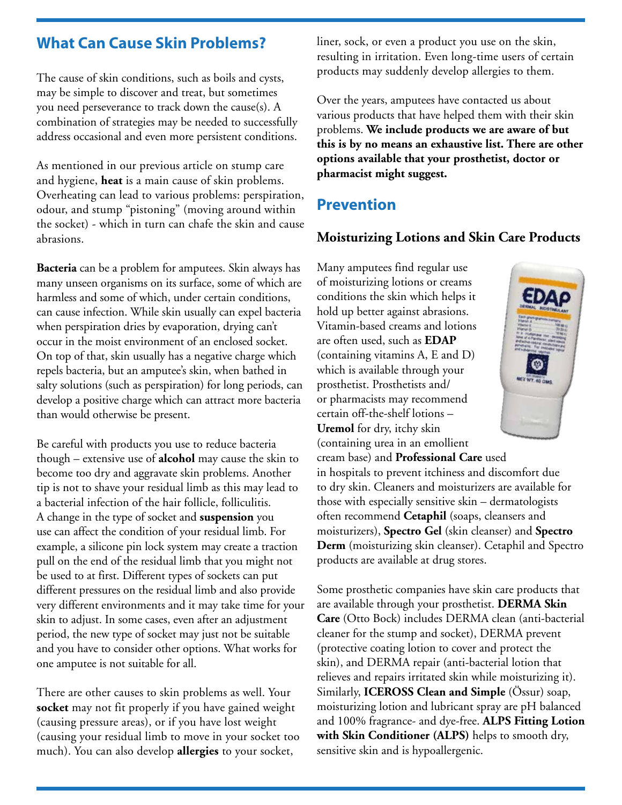## **What Can Cause Skin Problems?**

The cause of skin conditions, such as boils and cysts, may be simple to discover and treat, but sometimes you need perseverance to track down the cause(s). A combination of strategies may be needed to successfully address occasional and even more persistent conditions.

As mentioned in our previous article on stump care and hygiene, **heat** is a main cause of skin problems. Overheating can lead to various problems: perspiration, odour, and stump "pistoning" (moving around within the socket) - which in turn can chafe the skin and cause abrasions.

**Bacteria** can be a problem for amputees. Skin always has many unseen organisms on its surface, some of which are harmless and some of which, under certain conditions, can cause infection. While skin usually can expel bacteria when perspiration dries by evaporation, drying can't occur in the moist environment of an enclosed socket. On top of that, skin usually has a negative charge which repels bacteria, but an amputee's skin, when bathed in salty solutions (such as perspiration) for long periods, can develop a positive charge which can attract more bacteria than would otherwise be present.

Be careful with products you use to reduce bacteria though – extensive use of **alcohol** may cause the skin to become too dry and aggravate skin problems. Another tip is not to shave your residual limb as this may lead to a bacterial infection of the hair follicle, folliculitis. A change in the type of socket and **suspension** you use can affect the condition of your residual limb. For example, a silicone pin lock system may create a traction pull on the end of the residual limb that you might not be used to at first. Different types of sockets can put different pressures on the residual limb and also provide very different environments and it may take time for your skin to adjust. In some cases, even after an adjustment period, the new type of socket may just not be suitable and you have to consider other options. What works for one amputee is not suitable for all.

There are other causes to skin problems as well. Your **socket** may not fit properly if you have gained weight (causing pressure areas), or if you have lost weight (causing your residual limb to move in your socket too much). You can also develop **allergies** to your socket,

liner, sock, or even a product you use on the skin, resulting in irritation. Even long-time users of certain products may suddenly develop allergies to them.

Over the years, amputees have contacted us about various products that have helped them with their skin problems. **We include products we are aware of but this is by no means an exhaustive list. There are other options available that your prosthetist, doctor or pharmacist might suggest.**

# **Prevention**

#### **Moisturizing Lotions and Skin Care Products**

Many amputees find regular use of moisturizing lotions or creams conditions the skin which helps it hold up better against abrasions. Vitamin-based creams and lotions are often used, such as **EDAP** (containing vitamins A, E and D) which is available through your prosthetist. Prosthetists and/ or pharmacists may recommend certain off-the-shelf lotions – **Uremol** for dry, itchy skin (containing urea in an emollient



cream base) and **Professional Care** used in hospitals to prevent itchiness and discomfort due to dry skin. Cleaners and moisturizers are available for those with especially sensitive skin – dermatologists often recommend **Cetaphil** (soaps, cleansers and moisturizers), **Spectro Gel** (skin cleanser) and **Spectro Derm** (moisturizing skin cleanser). Cetaphil and Spectro products are available at drug stores.

Some prosthetic companies have skin care products that are available through your prosthetist. **DERMA Skin Care** (Otto Bock) includes DERMA clean (anti-bacterial cleaner for the stump and socket), DERMA prevent (protective coating lotion to cover and protect the skin), and DERMA repair (anti-bacterial lotion that relieves and repairs irritated skin while moisturizing it). Similarly, **ICEROSS Clean and Simple** (Össur) soap, moisturizing lotion and lubricant spray are pH balanced and 100% fragrance- and dye-free. **ALPS Fitting Lotion with Skin Conditioner (ALPS)** helps to smooth dry, sensitive skin and is hypoallergenic.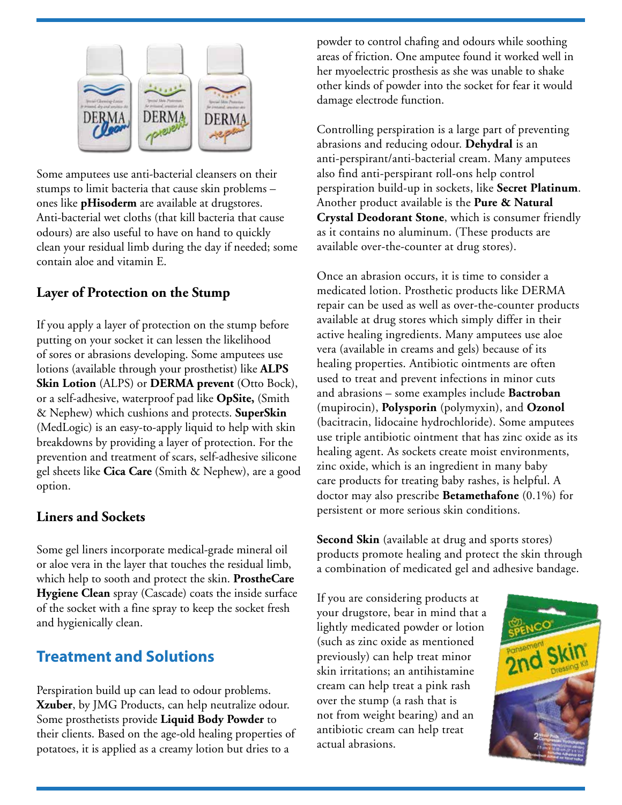

Some amputees use anti-bacterial cleansers on their stumps to limit bacteria that cause skin problems – ones like **pHisoderm** are available at drugstores. Anti-bacterial wet cloths (that kill bacteria that cause odours) are also useful to have on hand to quickly clean your residual limb during the day if needed; some contain aloe and vitamin E.

#### **Layer of Protection on the Stump**

If you apply a layer of protection on the stump before putting on your socket it can lessen the likelihood of sores or abrasions developing. Some amputees use lotions (available through your prosthetist) like **ALPS Skin Lotion** (ALPS) or **DERMA prevent** (Otto Bock), or a self-adhesive, waterproof pad like **OpSite,** (Smith & Nephew) which cushions and protects. **SuperSkin** (MedLogic) is an easy-to-apply liquid to help with skin breakdowns by providing a layer of protection. For the prevention and treatment of scars, self-adhesive silicone gel sheets like **Cica Care** (Smith & Nephew), are a good option.

#### **Liners and Sockets**

Some gel liners incorporate medical-grade mineral oil or aloe vera in the layer that touches the residual limb, which help to sooth and protect the skin. **ProstheCare Hygiene Clean** spray (Cascade) coats the inside surface of the socket with a fine spray to keep the socket fresh and hygienically clean.

## **Treatment and Solutions**

Perspiration build up can lead to odour problems. **Xzuber**, by JMG Products, can help neutralize odour. Some prosthetists provide **Liquid Body Powder** to their clients. Based on the age-old healing properties of potatoes, it is applied as a creamy lotion but dries to a

powder to control chafing and odours while soothing areas of friction. One amputee found it worked well in her myoelectric prosthesis as she was unable to shake other kinds of powder into the socket for fear it would damage electrode function.

Controlling perspiration is a large part of preventing abrasions and reducing odour. **Dehydral** is an anti-perspirant/anti-bacterial cream. Many amputees also find anti-perspirant roll-ons help control perspiration build-up in sockets, like **Secret Platinum**. Another product available is the **Pure & Natural Crystal Deodorant Stone**, which is consumer friendly as it contains no aluminum. (These products are available over-the-counter at drug stores).

Once an abrasion occurs, it is time to consider a medicated lotion. Prosthetic products like DERMA repair can be used as well as over-the-counter products available at drug stores which simply differ in their active healing ingredients. Many amputees use aloe vera (available in creams and gels) because of its healing properties. Antibiotic ointments are often used to treat and prevent infections in minor cuts and abrasions – some examples include **Bactroban**  (mupirocin), **Polysporin** (polymyxin), and **Ozonol** (bacitracin, lidocaine hydrochloride). Some amputees use triple antibiotic ointment that has zinc oxide as its healing agent. As sockets create moist environments, zinc oxide, which is an ingredient in many baby care products for treating baby rashes, is helpful. A doctor may also prescribe **Betamethafone** (0.1%) for persistent or more serious skin conditions.

**Second Skin** (available at drug and sports stores) products promote healing and protect the skin through a combination of medicated gel and adhesive bandage.

If you are considering products at your drugstore, bear in mind that a lightly medicated powder or lotion (such as zinc oxide as mentioned previously) can help treat minor skin irritations; an antihistamine cream can help treat a pink rash over the stump (a rash that is not from weight bearing) and an antibiotic cream can help treat actual abrasions.